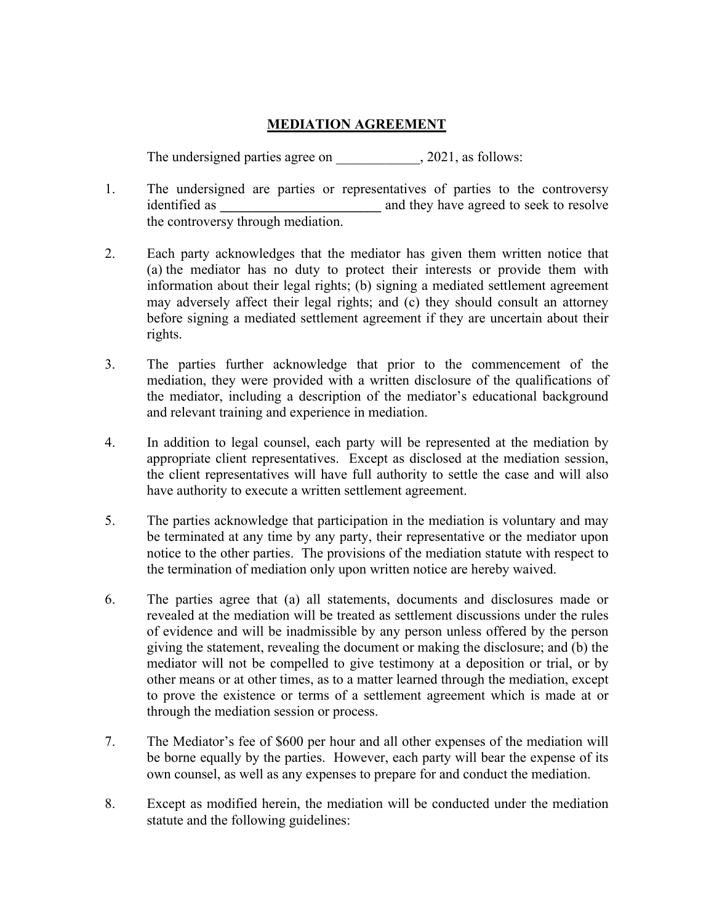## **MEDIATION AGREEMENT**

The undersigned parties agree on  $, 2021,$  as follows:

- 1. The undersigned are parties or representatives of parties to the controversy identified as **\_\_\_\_\_\_\_\_\_\_\_\_\_\_\_\_\_\_\_\_\_\_\_** and they have agreed to seek to resolve the controversy through mediation.
- 2. Each party acknowledges that the mediator has given them written notice that (a) the mediator has no duty to protect their interests or provide them with information about their legal rights; (b) signing a mediated settlement agreement may adversely affect their legal rights; and (c) they should consult an attorney before signing a mediated settlement agreement if they are uncertain about their rights.
- 3. The parties further acknowledge that prior to the commencement of the mediation, they were provided with a written disclosure of the qualifications of the mediator, including a description of the mediator's educational background and relevant training and experience in mediation.
- 4. In addition to legal counsel, each party will be represented at the mediation by appropriate client representatives. Except as disclosed at the mediation session, the client representatives will have full authority to settle the case and will also have authority to execute a written settlement agreement.
- 5. The parties acknowledge that participation in the mediation is voluntary and may be terminated at any time by any party, their representative or the mediator upon notice to the other parties. The provisions of the mediation statute with respect to the termination of mediation only upon written notice are hereby waived.
- 6. The parties agree that (a) all statements, documents and disclosures made or revealed at the mediation will be treated as settlement discussions under the rules of evidence and will be inadmissible by any person unless offered by the person giving the statement, revealing the document or making the disclosure; and (b) the mediator will not be compelled to give testimony at a deposition or trial, or by other means or at other times, as to a matter learned through the mediation, except to prove the existence or terms of a settlement agreement which is made at or through the mediation session or process.
- 7. The Mediator's fee of \$600 per hour and all other expenses of the mediation will be borne equally by the parties. However, each party will bear the expense of its own counsel, as well as any expenses to prepare for and conduct the mediation.
- 8. Except as modified herein, the mediation will be conducted under the mediation statute and the following guidelines: